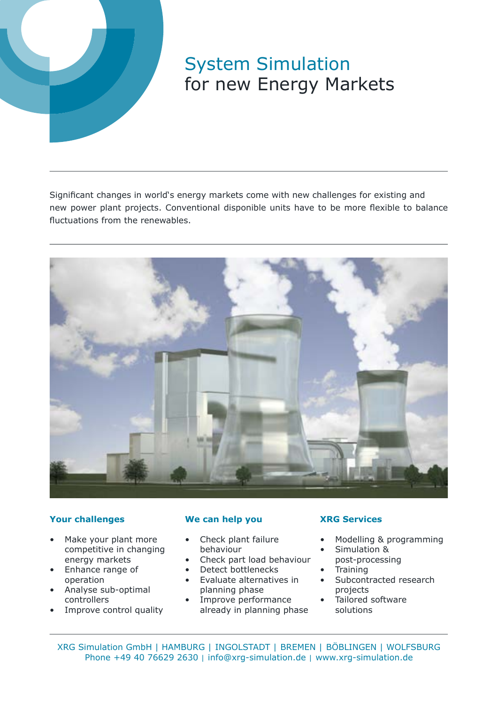

# System Simulation for new Energy Markets

Significant changes in world's energy markets come with new challenges for existing and new power plant projects. Conventional disponible units have to be more flexible to balance fluctuations from the renewables.



### **Your challenges**

- Make your plant more competitive in changing energy markets
- Enhance range of operation
- Analyse sub-optimal controllers
- Improve control quality

### **We can help you**

- Check plant failure behaviour
- Check part load behaviour
- Detect bottlenecks
- Evaluate alternatives in planning phase
- Improve performance already in planning phase

## **XRG Services**

- Modelling & programming
- Simulation &
- post-processing **Training**
- Subcontracted research projects
- Tailored software solutions

XRG Simulation GmbH | HAMBURG | INGOLSTADT | BREMEN | BÖBLINGEN | WOLFSBURG Phone +49 40 76629 2630 | [info@xrg-simulation.de](mailto:info%40xrg-simulation.de?subject=) | [www.xrg-simulation.de](http://www.xrg-simulation.de)